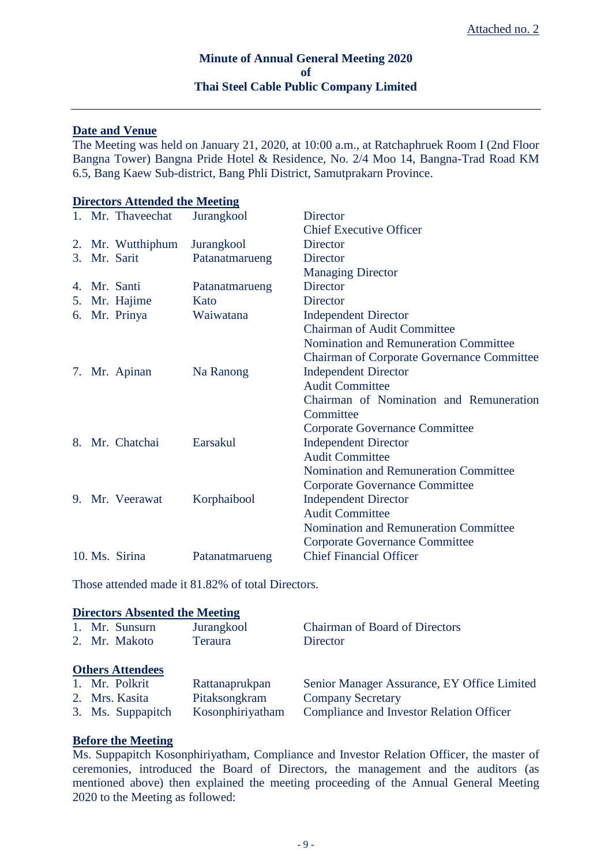# **Minute of Annual General Meeting 2020 of Thai Steel Cable Public Company Limited**

## **Date and Venue**

The Meeting was held on January 21, 2020, at 10:00 a.m., at Ratchaphruek Room I (2nd Floor Bangna Tower) Bangna Pride Hotel & Residence, No. 2/4 Moo 14, Bangna-Trad Road KM 6.5, Bang Kaew Sub-district, Bang Phli District, Samutprakarn Province.

# **Directors Attended the Meeting** 1. Mr. Thaveechat Jurangkool Director Chief Executive Officer 2. Mr. Wutthiphum Jurangkool Director 3. Mr. Sarit Patanatmarueng Director Managing Director 4. Mr. Santi Patanatmarueng Director 5. Mr. Hajime Kato Director 6. Mr. Prinya Waiwatana Independent Director Chairman of Audit Committee Nomination and Remuneration Committee Chairman of Corporate Governance Committee 7. Mr. Apinan Na Ranong Independent Director Audit Committee Chairman of Nomination and Remuneration **Committee** Corporate Governance Committee 8. Mr. Chatchai Earsakul Independent Director Audit Committee Nomination and Remuneration Committee Corporate Governance Committee 9. Mr. Veerawat Korphaibool Independent Director Audit Committee Nomination and Remuneration Committee Corporate Governance Committee 10. Ms. Sirina Patanatmarueng Chief Financial Officer

Those attended made it 81.82% of total Directors.

### **Directors Absented the Meeting**

| 1. Mr. Sunsurn          | Jurangkool       | <b>Chairman of Board of Directors</b>           |
|-------------------------|------------------|-------------------------------------------------|
| 2. Mr. Makoto           | <b>Teraura</b>   | Director                                        |
|                         |                  |                                                 |
| <b>Others Attendees</b> |                  |                                                 |
| 1. Mr. Polkrit          | Rattanaprukpan   | Senior Manager Assurance, EY Office Limited     |
| 2. Mrs. Kasita          | Pitaksongkram    | <b>Company Secretary</b>                        |
| 3. Ms. Suppapitch       | Kosonphiriyatham | <b>Compliance and Investor Relation Officer</b> |

### **Before the Meeting**

Ms. Suppapitch Kosonphiriyatham, Compliance and Investor Relation Officer, the master of ceremonies, introduced the Board of Directors, the management and the auditors (as mentioned above) then explained the meeting proceeding of the Annual General Meeting 2020 to the Meeting as followed: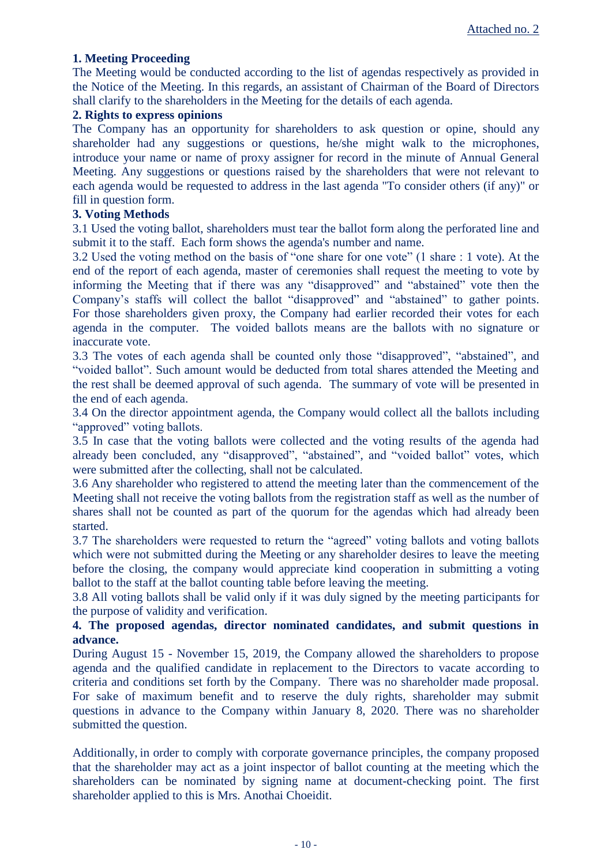# **1. Meeting Proceeding**

The Meeting would be conducted according to the list of agendas respectively as provided in the Notice of the Meeting. In this regards, an assistant of Chairman of the Board of Directors shall clarify to the shareholders in the Meeting for the details of each agenda.

## **2. Rights to express opinions**

The Company has an opportunity for shareholders to ask question or opine, should any shareholder had any suggestions or questions, he/she might walk to the microphones, introduce your name or name of proxy assigner for record in the minute of Annual General Meeting. Any suggestions or questions raised by the shareholders that were not relevant to each agenda would be requested to address in the last agenda "To consider others (if any)" or fill in question form.

# **3. Voting Methods**

3.1 Used the voting ballot, shareholders must tear the ballot form along the perforated line and submit it to the staff. Each form shows the agenda's number and name.

3.2 Used the voting method on the basis of "one share for one vote" (1 share : 1 vote). At the end of the report of each agenda, master of ceremonies shall request the meeting to vote by informing the Meeting that if there was any "disapproved" and "abstained" vote then the Company's staffs will collect the ballot "disapproved" and "abstained" to gather points. For those shareholders given proxy, the Company had earlier recorded their votes for each agenda in the computer. The voided ballots means are the ballots with no signature or inaccurate vote.

3.3 The votes of each agenda shall be counted only those "disapproved", "abstained", and "voided ballot". Such amount would be deducted from total shares attended the Meeting and the rest shall be deemed approval of such agenda. The summary of vote will be presented in the end of each agenda.

3.4 On the director appointment agenda, the Company would collect all the ballots including "approved" voting ballots.

3.5 In case that the voting ballots were collected and the voting results of the agenda had already been concluded, any "disapproved", "abstained", and "voided ballot" votes, which were submitted after the collecting, shall not be calculated.

3.6 Any shareholder who registered to attend the meeting later than the commencement of the Meeting shall not receive the voting ballots from the registration staff as well as the number of shares shall not be counted as part of the quorum for the agendas which had already been started.

3.7 The shareholders were requested to return the "agreed" voting ballots and voting ballots which were not submitted during the Meeting or any shareholder desires to leave the meeting before the closing, the company would appreciate kind cooperation in submitting a voting ballot to the staff at the ballot counting table before leaving the meeting.

3.8 All voting ballots shall be valid only if it was duly signed by the meeting participants for the purpose of validity and verification.

# **4. The proposed agendas, director nominated candidates, and submit questions in advance.**

During August 15 - November 15, 2019, the Company allowed the shareholders to propose agenda and the qualified candidate in replacement to the Directors to vacate according to criteria and conditions set forth by the Company. There was no shareholder made proposal. For sake of maximum benefit and to reserve the duly rights, shareholder may submit questions in advance to the Company within January 8, 2020. There was no shareholder submitted the question.

Additionally, in order to comply with corporate governance principles, the company proposed that the shareholder may act as a joint inspector of ballot counting at the meeting which the shareholders can be nominated by signing name at document-checking point. The first shareholder applied to this is Mrs. Anothai Choeidit.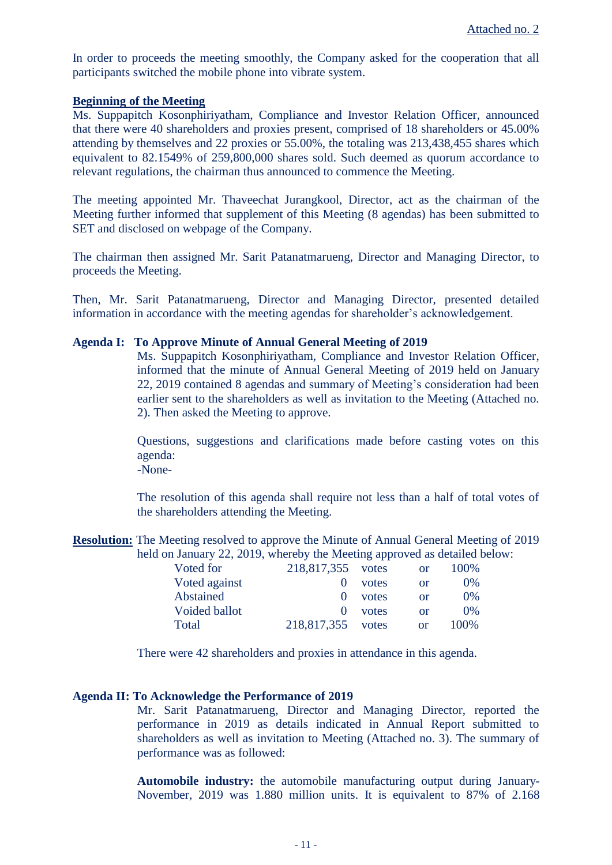In order to proceeds the meeting smoothly, the Company asked for the cooperation that all participants switched the mobile phone into vibrate system.

### **Beginning of the Meeting**

Ms. Suppapitch Kosonphiriyatham, Compliance and Investor Relation Officer, announced that there were 40 shareholders and proxies present, comprised of 18 shareholders or 45.00% attending by themselves and 22 proxies or 55.00%, the totaling was 213,438,455 shares which equivalent to 82.1549% of 259,800,000 shares sold. Such deemed as quorum accordance to relevant regulations, the chairman thus announced to commence the Meeting.

The meeting appointed Mr. Thaveechat Jurangkool, Director, act as the chairman of the Meeting further informed that supplement of this Meeting (8 agendas) has been submitted to SET and disclosed on webpage of the Company.

The chairman then assigned Mr. Sarit Patanatmarueng, Director and Managing Director, to proceeds the Meeting.

Then, Mr. Sarit Patanatmarueng, Director and Managing Director, presented detailed information in accordance with the meeting agendas for shareholder's acknowledgement.

### **Agenda I: To Approve Minute of Annual General Meeting of 2019**

Ms. Suppapitch Kosonphiriyatham, Compliance and Investor Relation Officer, informed that the minute of Annual General Meeting of 2019 held on January 22, 2019 contained 8 agendas and summary of Meeting's consideration had been earlier sent to the shareholders as well as invitation to the Meeting (Attached no. 2). Then asked the Meeting to approve.

Questions, suggestions and clarifications made before casting votes on this agenda:

-None-

The resolution of this agenda shall require not less than a half of total votes of the shareholders attending the Meeting.

**Resolution:** The Meeting resolved to approve the Minute of Annual General Meeting of 2019 held on January 22, 2019, whereby the Meeting approved as detailed below:

| Voted for     | 218,817,355 votes |       | or       | 100\% |
|---------------|-------------------|-------|----------|-------|
| Voted against |                   | votes | or       | $0\%$ |
| Abstained     |                   | votes | or       | 0%    |
| Voided ballot |                   | votes | $\alpha$ | 0%    |
| Total         | 218,817,355 votes |       | or       | 100\% |

There were 42 shareholders and proxies in attendance in this agenda.

# **Agenda II: To Acknowledge the Performance of 2019**

Mr. Sarit Patanatmarueng, Director and Managing Director, reported the performance in 2019 as details indicated in Annual Report submitted to shareholders as well as invitation to Meeting (Attached no. 3). The summary of performance was as followed:

**Automobile industry:** the automobile manufacturing output during January-November, 2019 was 1.880 million units. It is equivalent to 87% of 2.168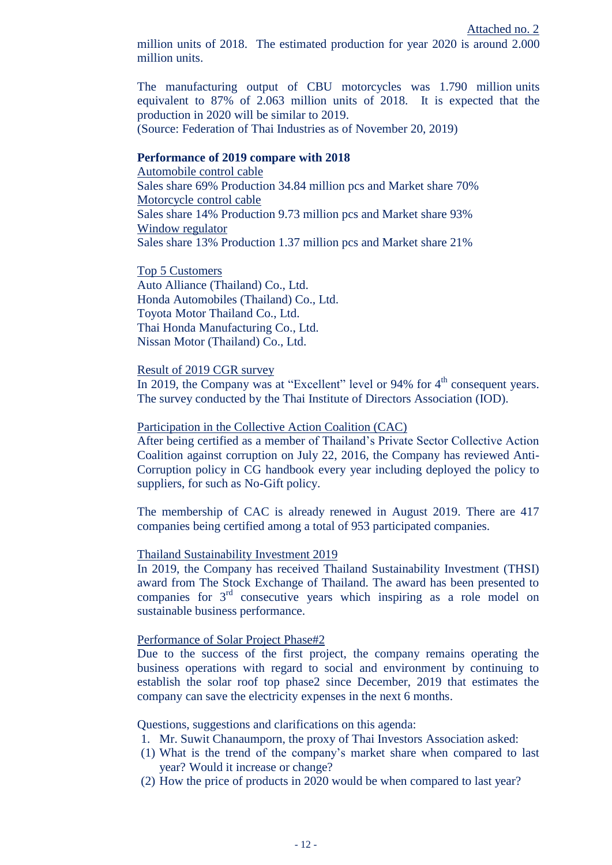million units of 2018. The estimated production for year 2020 is around 2.000 million units.

The manufacturing output of CBU motorcycles was 1.790 million units equivalent to 87% of 2.063 million units of 2018. It is expected that the production in 2020 will be similar to 2019.

(Source: Federation of Thai Industries as of November 20, 2019)

## **Performance of 2019 compare with 2018**

Automobile control cable Sales share 69% Production 34.84 million pcs and Market share 70% Motorcycle control cable Sales share 14% Production 9.73 million pcs and Market share 93% Window regulator Sales share 13% Production 1.37 million pcs and Market share 21%

Top 5 Customers Auto Alliance (Thailand) Co., Ltd. Honda Automobiles (Thailand) Co., Ltd. Toyota Motor Thailand Co., Ltd. Thai Honda Manufacturing Co., Ltd. Nissan Motor (Thailand) Co., Ltd.

#### Result of 2019 CGR survey

In 2019, the Company was at "Excellent" level or 94% for  $4<sup>th</sup>$  consequent years. The survey conducted by the Thai Institute of Directors Association (IOD).

### Participation in the Collective Action Coalition (CAC)

After being certified as a member of Thailand's Private Sector Collective Action Coalition against corruption on July 22, 2016, the Company has reviewed Anti-Corruption policy in CG handbook every year including deployed the policy to suppliers, for such as No-Gift policy.

The membership of CAC is already renewed in August 2019. There are 417 companies being certified among a total of 953 participated companies.

#### Thailand Sustainability Investment 2019

In 2019, the Company has received Thailand Sustainability Investment (THSI) award from The Stock Exchange of Thailand. The award has been presented to companies for  $3<sup>rd</sup>$  consecutive years which inspiring as a role model on sustainable business performance.

### Performance of Solar Project Phase#2

Due to the success of the first project, the company remains operating the business operations with regard to social and environment by continuing to establish the solar roof top phase2 since December, 2019 that estimates the company can save the electricity expenses in the next 6 months.

Questions, suggestions and clarifications on this agenda:

- 1. Mr. Suwit Chanaumporn, the proxy of Thai Investors Association asked:
- (1) What is the trend of the company's market share when compared to last year? Would it increase or change?
- (2) How the price of products in 2020 would be when compared to last year?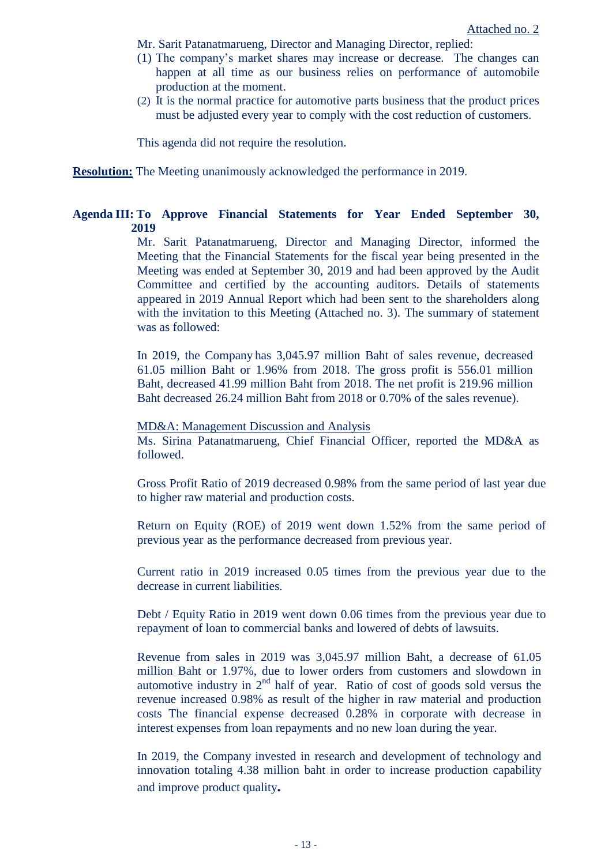- Mr. Sarit Patanatmarueng, Director and Managing Director, replied:
- (1) The company's market shares may increase or decrease. The changes can happen at all time as our business relies on performance of automobile production at the moment.
- (2) It is the normal practice for automotive parts business that the product prices must be adjusted every year to comply with the cost reduction of customers.

This agenda did not require the resolution.

**Resolution:** The Meeting unanimously acknowledged the performance in 2019.

# **Agenda III: To Approve Financial Statements for Year Ended September 30, 2019**

Mr. Sarit Patanatmarueng, Director and Managing Director, informed the Meeting that the Financial Statements for the fiscal year being presented in the Meeting was ended at September 30, 2019 and had been approved by the Audit Committee and certified by the accounting auditors. Details of statements appeared in 2019 Annual Report which had been sent to the shareholders along with the invitation to this Meeting (Attached no. 3). The summary of statement was as followed:

In 2019, the Company has 3,045.97 million Baht of sales revenue, decreased 61.05 million Baht or 1.96% from 2018. The gross profit is 556.01 million Baht, decreased 41.99 million Baht from 2018. The net profit is 219.96 million Baht decreased 26.24 million Baht from 2018 or 0.70% of the sales revenue).

MD&A: Management Discussion and Analysis Ms. Sirina Patanatmarueng, Chief Financial Officer, reported the MD&A as followed.

Gross Profit Ratio of 2019 decreased 0.98% from the same period of last year due to higher raw material and production costs.

Return on Equity (ROE) of 2019 went down 1.52% from the same period of previous year as the performance decreased from previous year.

Current ratio in 2019 increased 0.05 times from the previous year due to the decrease in current liabilities.

Debt / Equity Ratio in 2019 went down 0.06 times from the previous year due to repayment of loan to commercial banks and lowered of debts of lawsuits.

Revenue from sales in 2019 was 3,045.97 million Baht, a decrease of 61.05 million Baht or 1.97%, due to lower orders from customers and slowdown in automotive industry in  $2<sup>nd</sup>$  half of year. Ratio of cost of goods sold versus the revenue increased 0.98% as result of the higher in raw material and production costs The financial expense decreased 0.28% in corporate with decrease in interest expenses from loan repayments and no new loan during the year.

In 2019, the Company invested in research and development of technology and innovation totaling 4.38 million baht in order to increase production capability and improve product quality**.**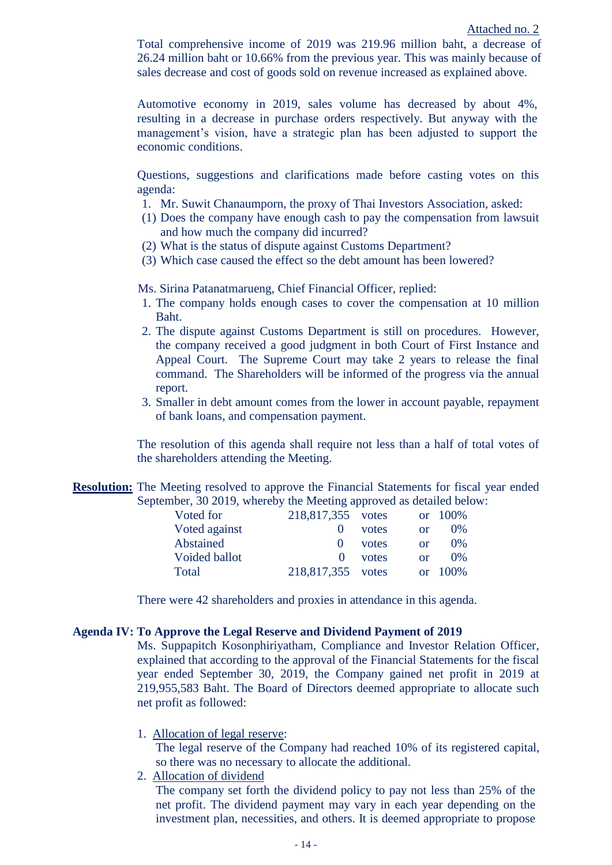Total comprehensive income of 2019 was 219.96 million baht, a decrease of 26.24 million baht or 10.66% from the previous year. This was mainly because of sales decrease and cost of goods sold on revenue increased as explained above.

Automotive economy in 2019, sales volume has decreased by about 4%, resulting in a decrease in purchase orders respectively. But anyway with the management's vision, have a strategic plan has been adjusted to support the economic conditions.

Questions, suggestions and clarifications made before casting votes on this agenda:

- 1. Mr. Suwit Chanaumporn, the proxy of Thai Investors Association, asked:
- (1) Does the company have enough cash to pay the compensation from lawsuit and how much the company did incurred?
- (2) What is the status of dispute against Customs Department?
- (3) Which case caused the effect so the debt amount has been lowered?

Ms. Sirina Patanatmarueng, Chief Financial Officer, replied:

- 1. The company holds enough cases to cover the compensation at 10 million Baht.
- 2. The dispute against Customs Department is still on procedures. However, the company received a good judgment in both Court of First Instance and Appeal Court. The Supreme Court may take 2 years to release the final command. The Shareholders will be informed of the progress via the annual report.
- 3. Smaller in debt amount comes from the lower in account payable, repayment of bank loans, and compensation payment.

The resolution of this agenda shall require not less than a half of total votes of the shareholders attending the Meeting.

**Resolution:** The Meeting resolved to approve the Financial Statements for fiscal year ended September, 30 2019, whereby the Meeting approved as detailed below:

|       | $\alpha$                               | $-100\%$ |
|-------|----------------------------------------|----------|
| votes | or                                     | 0%       |
| votes | $\alpha$                               | 0%       |
| votes | $\alpha$                               | $0\%$    |
|       | $\alpha$ r                             | 100\%    |
|       | 218,817,355 votes<br>218,817,355 votes |          |

There were 42 shareholders and proxies in attendance in this agenda.

### **Agenda IV: To Approve the Legal Reserve and Dividend Payment of 2019**

Ms. Suppapitch Kosonphiriyatham, Compliance and Investor Relation Officer, explained that according to the approval of the Financial Statements for the fiscal year ended September 30, 2019, the Company gained net profit in 2019 at 219,955,583 Baht. The Board of Directors deemed appropriate to allocate such net profit as followed:

1. Allocation of legal reserve:

The legal reserve of the Company had reached 10% of its registered capital, so there was no necessary to allocate the additional.

2. Allocation of dividend

The company set forth the dividend policy to pay not less than 25% of the net profit. The dividend payment may vary in each year depending on the investment plan, necessities, and others. It is deemed appropriate to propose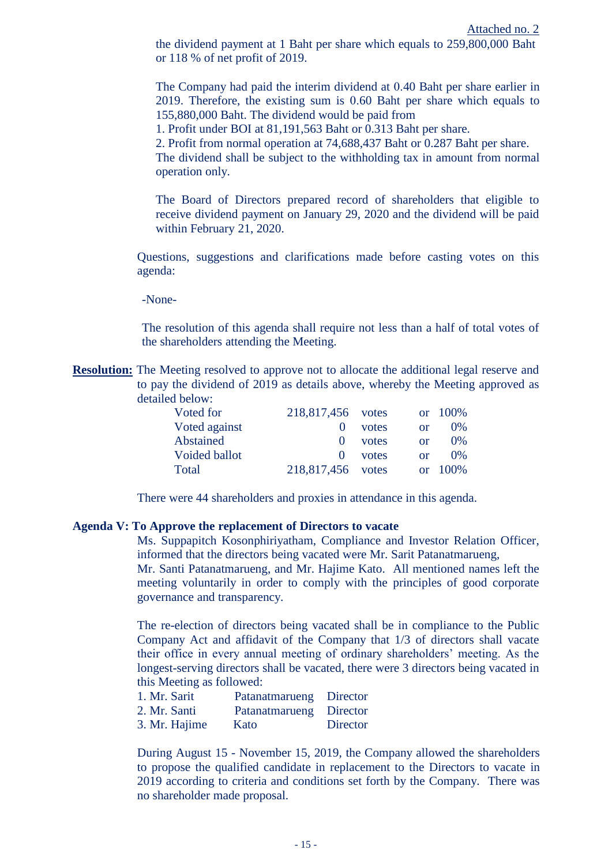the dividend payment at 1 Baht per share which equals to 259,800,000 Baht or 118 % of net profit of 2019.

The Company had paid the interim dividend at 0.40 Baht per share earlier in 2019. Therefore, the existing sum is 0.60 Baht per share which equals to 155,880,000 Baht. The dividend would be paid from

1. Profit under BOI at 81,191,563 Baht or 0.313 Baht per share.

2. Profit from normal operation at 74,688,437 Baht or 0.287 Baht per share.

The dividend shall be subject to the withholding tax in amount from normal operation only.

The Board of Directors prepared record of shareholders that eligible to receive dividend payment on January 29, 2020 and the dividend will be paid within February 21, 2020.

Questions, suggestions and clarifications made before casting votes on this agenda:

-None-

The resolution of this agenda shall require not less than a half of total votes of the shareholders attending the Meeting.

**Resolution:** The Meeting resolved to approve not to allocate the additional legal reserve and to pay the dividend of 2019 as details above, whereby the Meeting approved as detailed below:

| Voted for     | 218,817,456 votes |       |          | or $100\%$ |
|---------------|-------------------|-------|----------|------------|
| Voted against | $\mathbf{\Omega}$ | votes | $\alpha$ | $0\%$      |
| Abstained     | $^{\circ}$        | votes | $\alpha$ | 0%         |
| Voided ballot | $\Omega$          | votes | $\alpha$ | $0\%$      |
| Total         | 218,817,456 votes |       |          | or $100\%$ |

There were 44 shareholders and proxies in attendance in this agenda.

#### **Agenda V: To Approve the replacement of Directors to vacate**

Ms. Suppapitch Kosonphiriyatham, Compliance and Investor Relation Officer, informed that the directors being vacated were Mr. Sarit Patanatmarueng,

Mr. Santi Patanatmarueng, and Mr. Hajime Kato. All mentioned names left the meeting voluntarily in order to comply with the principles of good corporate governance and transparency.

The re-election of directors being vacated shall be in compliance to the Public Company Act and affidavit of the Company that 1/3 of directors shall vacate their office in every annual meeting of ordinary shareholders' meeting. As the longest-serving directors shall be vacated, there were 3 directors being vacated in this Meeting as followed:

| 1. Mr. Sarit  | Patanatmarueng Director |          |
|---------------|-------------------------|----------|
| 2. Mr. Santi  | Patanatmarueng Director |          |
| 3. Mr. Hajime | Kato                    | Director |

During August 15 - November 15, 2019, the Company allowed the shareholders to propose the qualified candidate in replacement to the Directors to vacate in 2019 according to criteria and conditions set forth by the Company. There was no shareholder made proposal.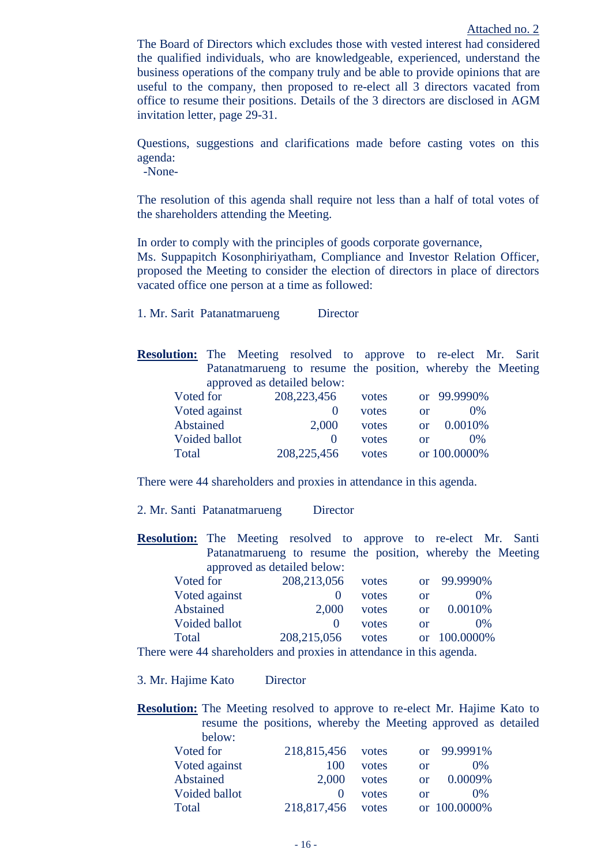The Board of Directors which excludes those with vested interest had considered the qualified individuals, who are knowledgeable, experienced, understand the business operations of the company truly and be able to provide opinions that are useful to the company, then proposed to re-elect all 3 directors vacated from office to resume their positions. Details of the 3 directors are disclosed in AGM invitation letter, page 29-31.

Questions, suggestions and clarifications made before casting votes on this agenda:

-None-

The resolution of this agenda shall require not less than a half of total votes of the shareholders attending the Meeting.

In order to comply with the principles of goods corporate governance,

Ms. Suppapitch Kosonphiriyatham, Compliance and Investor Relation Officer, proposed the Meeting to consider the election of directors in place of directors vacated office one person at a time as followed:

1. Mr. Sarit Patanatmarueng Director

**Resolution:** The Meeting resolved to approve to re-elect Mr. Sarit Patanatmarueng to resume the position, whereby the Meeting approved as detailed below:

| Voted for     | 208, 223, 456     | votes |    | or 99.9990\% |
|---------------|-------------------|-------|----|--------------|
| Voted against |                   | votes | or | $0\%$        |
| Abstained     | 2,000             | votes | Ωr | $0.0010\%$   |
| Voided ballot | $\mathbf{\Omega}$ | votes | or | $0\%$        |
| Total         | 208, 225, 456     | votes |    | or 100,0000% |

There were 44 shareholders and proxies in attendance in this agenda.

2. Mr. Santi Patanatmarueng Director

**Resolution:** The Meeting resolved to approve to re-elect Mr. Santi Patanatmarueng to resume the position, whereby the Meeting approved as detailed below:

| Voted for                                                                                | 208, 213, 056 | votes |          | or 99.9990%  |
|------------------------------------------------------------------------------------------|---------------|-------|----------|--------------|
| Voted against                                                                            |               | votes | or       | $0\%$        |
| Abstained                                                                                | 2.000         | votes | $\alpha$ | 0.0010\%     |
| Voided ballot                                                                            |               | votes | or       | $0\%$        |
| Total                                                                                    | 208, 215, 056 | votes |          | or 100.0000% |
| $\alpha$ here were $\Delta\Lambda$ shareholders and provies in attendance in this agenda |               |       |          |              |

There were 44 shareholders and proxies in attendance in this agenda.

3. Mr. Hajime Kato Director

**Resolution:** The Meeting resolved to approve to re-elect Mr. Hajime Kato to resume the positions, whereby the Meeting approved as detailed below: Voted for 218,815,456 votes or 99.9991% Voted against 100 votes or 0% Abstained 2,000 votes or 0.0009% Voided ballot 0 votes or 0% Total 218,817,456 votes or 100.0000%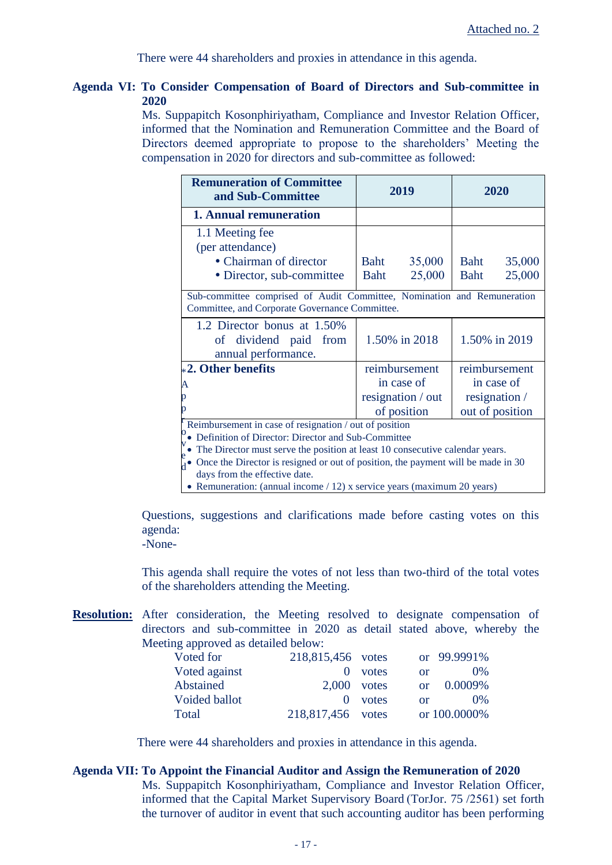There were 44 shareholders and proxies in attendance in this agenda.

# **Agenda VI: To Consider Compensation of Board of Directors and Sub-committee in 2020**

Ms. Suppapitch Kosonphiriyatham, Compliance and Investor Relation Officer, informed that the Nomination and Remuneration Committee and the Board of Directors deemed appropriate to propose to the shareholders' Meeting the compensation in 2020 for directors and sub-committee as followed:

| <b>Remuneration of Committee</b><br>and Sub-Committee                                                                     | 2019                           | 2020           |  |  |
|---------------------------------------------------------------------------------------------------------------------------|--------------------------------|----------------|--|--|
| <b>1. Annual remuneration</b>                                                                                             |                                |                |  |  |
| 1.1 Meeting fee                                                                                                           |                                |                |  |  |
| (per attendance)                                                                                                          |                                |                |  |  |
| • Chairman of director                                                                                                    | 35,000<br>Baht                 | 35,000<br>Baht |  |  |
| • Director, sub-committee                                                                                                 | 25,000<br><b>Baht</b>          | 25,000<br>Baht |  |  |
| Sub-committee comprised of Audit Committee, Nomination and Remuneration<br>Committee, and Corporate Governance Committee. |                                |                |  |  |
| 1.2 Director bonus at 1.50%<br>of dividend paid from<br>annual performance.                                               | 1.50% in 2018                  | 1.50% in 2019  |  |  |
| $*2.$ Other benefits                                                                                                      | reimbursement                  | reimbursement  |  |  |
| A                                                                                                                         | in case of                     | in case of     |  |  |
| resignation / out<br>p                                                                                                    |                                | resignation /  |  |  |
| n                                                                                                                         | out of position<br>of position |                |  |  |
| Reimbursement in case of resignation / out of position<br>Definition of Director: Director and Sub-Committee              |                                |                |  |  |
| The Director must serve the position at least 10 consecutive calendar years.                                              |                                |                |  |  |
| Once the Director is resigned or out of position, the payment will be made in 30                                          |                                |                |  |  |
| days from the effective date.                                                                                             |                                |                |  |  |

• Remuneration: (annual income / 12) x service years (maximum 20 years)

Questions, suggestions and clarifications made before casting votes on this agenda:

-None-

This agenda shall require the votes of not less than two-third of the total votes of the shareholders attending the Meeting.

**Resolution:** After consideration, the Meeting resolved to designate compensation of directors and sub-committee in 2020 as detail stated above, whereby the Meeting approved as detailed below:

| Voted for     | 218,815,456 votes |           | or 99.9991%       |
|---------------|-------------------|-----------|-------------------|
| Voted against |                   | $0$ votes | $0\%$<br>$\alpha$ |
| Abstained     | $2,000$ votes     |           | 0.0009%<br>or     |
| Voided ballot |                   | $0$ votes | $0\%$<br>$\alpha$ |
| Total         | 218,817,456 votes |           | or 100.0000%      |

There were 44 shareholders and proxies in attendance in this agenda.

### **Agenda VII: To Appoint the Financial Auditor and Assign the Remuneration of 2020**

Ms. Suppapitch Kosonphiriyatham, Compliance and Investor Relation Officer, informed that the Capital Market Supervisory Board (TorJor. 75 /2561) set forth the turnover of auditor in event that such accounting auditor has been performing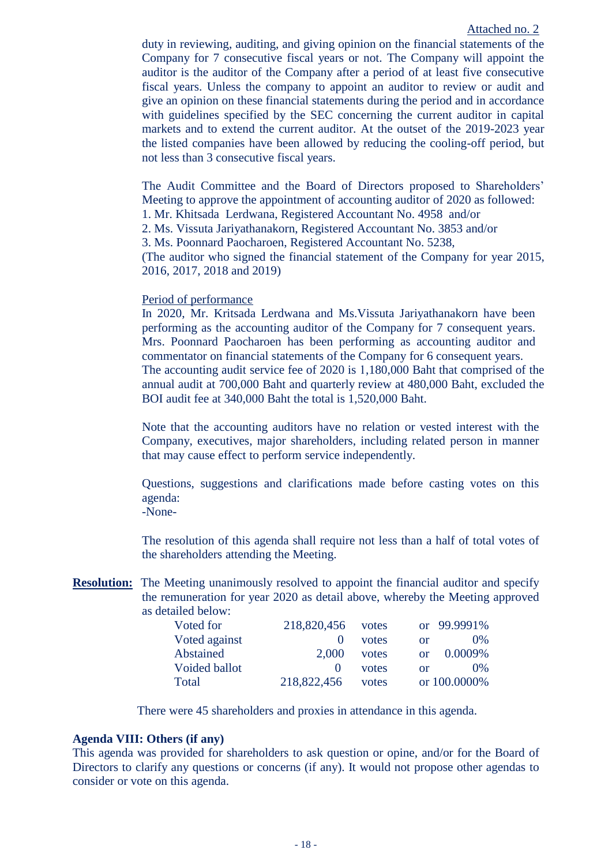## Attached no. 2

duty in reviewing, auditing, and giving opinion on the financial statements of the Company for 7 consecutive fiscal years or not. The Company will appoint the auditor is the auditor of the Company after a period of at least five consecutive fiscal years. Unless the company to appoint an auditor to review or audit and give an opinion on these financial statements during the period and in accordance with guidelines specified by the SEC concerning the current auditor in capital markets and to extend the current auditor. At the outset of the 2019-2023 year the listed companies have been allowed by reducing the cooling-off period, but not less than 3 consecutive fiscal years.

The Audit Committee and the Board of Directors proposed to Shareholders' Meeting to approve the appointment of accounting auditor of 2020 as followed: 1. Mr. Khitsada Lerdwana, Registered Accountant No. 4958 and/or

2. Ms. Vissuta Jariyathanakorn, Registered Accountant No. 3853 and/or

3. Ms. Poonnard Paocharoen, Registered Accountant No. 5238,

(The auditor who signed the financial statement of the Company for year 2015, 2016, 2017, 2018 and 2019)

# Period of performance

In 2020, Mr. Kritsada Lerdwana and Ms.Vissuta Jariyathanakorn have been performing as the accounting auditor of the Company for 7 consequent years. Mrs. Poonnard Paocharoen has been performing as accounting auditor and commentator on financial statements of the Company for 6 consequent years. The accounting audit service fee of 2020 is 1,180,000 Baht that comprised of the annual audit at 700,000 Baht and quarterly review at 480,000 Baht, excluded the BOI audit fee at 340,000 Baht the total is 1,520,000 Baht.

Note that the accounting auditors have no relation or vested interest with the Company, executives, major shareholders, including related person in manner that may cause effect to perform service independently.

Questions, suggestions and clarifications made before casting votes on this agenda:

-None-

The resolution of this agenda shall require not less than a half of total votes of the shareholders attending the Meeting.

**Resolution:** The Meeting unanimously resolved to appoint the financial auditor and specify the remuneration for year 2020 as detail above, whereby the Meeting approved as detailed below:

| Voted for     | 218,820,456 votes |       | or 99.9991%         |
|---------------|-------------------|-------|---------------------|
| Voted against |                   | votes | $0\%$<br>or         |
| Abstained     | 2.000             | votes | 0.0009%<br>$\alpha$ |
| Voided ballot |                   | votes | $0\%$<br>or         |
| Total         | 218,822,456       | votes | or 100.0000%        |

There were 45 shareholders and proxies in attendance in this agenda.

## **Agenda VIII: Others (if any)**

This agenda was provided for shareholders to ask question or opine, and/or for the Board of Directors to clarify any questions or concerns (if any). It would not propose other agendas to consider or vote on this agenda.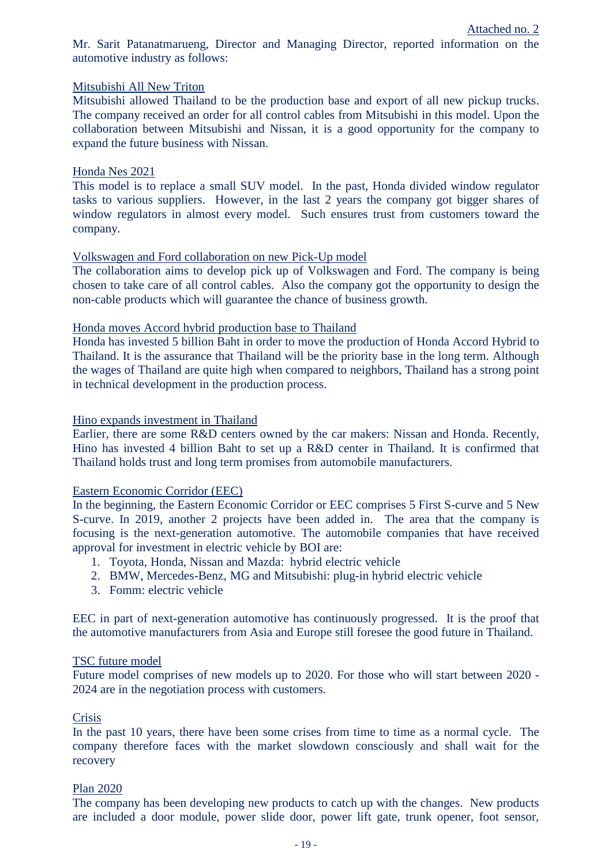Mr. Sarit Patanatmarueng, Director and Managing Director, reported information on the automotive industry as follows:

## Mitsubishi All New Triton

Mitsubishi allowed Thailand to be the production base and export of all new pickup trucks. The company received an order for all control cables from Mitsubishi in this model. Upon the collaboration between Mitsubishi and Nissan, it is a good opportunity for the company to expand the future business with Nissan.

### Honda Nes 2021

This model is to replace a small SUV model. In the past, Honda divided window regulator tasks to various suppliers. However, in the last 2 years the company got bigger shares of window regulators in almost every model. Such ensures trust from customers toward the company.

### Volkswagen and Ford collaboration on new Pick-Up model

The collaboration aims to develop pick up of Volkswagen and Ford. The company is being chosen to take care of all control cables. Also the company got the opportunity to design the non-cable products which will guarantee the chance of business growth.

### Honda moves Accord hybrid production base to Thailand

Honda has invested 5 billion Baht in order to move the production of Honda Accord Hybrid to Thailand. It is the assurance that Thailand will be the priority base in the long term. Although the wages of Thailand are quite high when compared to neighbors, Thailand has a strong point in technical development in the production process.

### Hino expands investment in Thailand

Earlier, there are some R&D centers owned by the car makers: Nissan and Honda. Recently, Hino has invested 4 billion Baht to set up a R&D center in Thailand. It is confirmed that Thailand holds trust and long term promises from automobile manufacturers.

# Eastern Economic Corridor (EEC)

In the beginning, the Eastern Economic Corridor or EEC comprises 5 First S-curve and 5 New S-curve. In 2019, another 2 projects have been added in. The area that the company is focusing is the next-generation automotive. The automobile companies that have received approval for investment in electric vehicle by BOI are:

- 1. Toyota, Honda, Nissan and Mazda: hybrid electric vehicle
- 2. BMW, Mercedes-Benz, MG and Mitsubishi: plug-in hybrid electric vehicle
- 3. Fomm: electric vehicle

EEC in part of next-generation automotive has continuously progressed. It is the proof that the automotive manufacturers from Asia and Europe still foresee the good future in Thailand.

### TSC future model

Future model comprises of new models up to 2020. For those who will start between 2020 - 2024 are in the negotiation process with customers.

# Crisis

In the past 10 years, there have been some crises from time to time as a normal cycle. The company therefore faces with the market slowdown consciously and shall wait for the recovery

### Plan 2020

The company has been developing new products to catch up with the changes. New products are included a door module, power slide door, power lift gate, trunk opener, foot sensor,